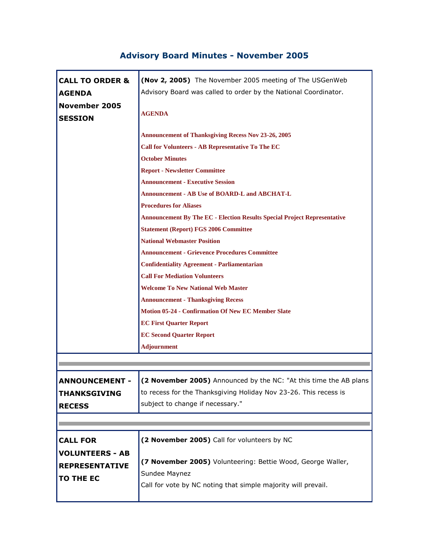## **Advisory Board Minutes - November 2005**

| <b>CALL TO ORDER &amp;</b>             | (Nov 2, 2005) The November 2005 meeting of The USGenWeb                         |
|----------------------------------------|---------------------------------------------------------------------------------|
| <b>AGENDA</b>                          | Advisory Board was called to order by the National Coordinator.                 |
| <b>November 2005</b><br><b>SESSION</b> | <b>AGENDA</b>                                                                   |
|                                        | <b>Announcement of Thanksgiving Recess Nov 23-26, 2005</b>                      |
|                                        | <b>Call for Volunteers - AB Representative To The EC</b>                        |
|                                        | <b>October Minutes</b>                                                          |
|                                        | <b>Report - Newsletter Committee</b>                                            |
|                                        | <b>Announcement - Executive Session</b>                                         |
|                                        | Announcement - AB Use of BOARD-L and ABCHAT-L                                   |
|                                        | <b>Procedures for Aliases</b>                                                   |
|                                        | <b>Announcement By The EC - Election Results Special Project Representative</b> |
|                                        | <b>Statement (Report) FGS 2006 Committee</b>                                    |
|                                        | <b>National Webmaster Position</b>                                              |
|                                        | <b>Announcement - Grievence Procedures Committee</b>                            |
|                                        | <b>Confidentiality Agreement - Parliamentarian</b>                              |
|                                        | <b>Call For Mediation Volunteers</b>                                            |
|                                        | <b>Welcome To New National Web Master</b>                                       |
|                                        | <b>Announcement - Thanksgiving Recess</b>                                       |
|                                        | <b>Motion 05-24 - Confirmation Of New EC Member Slate</b>                       |
|                                        | <b>EC First Quarter Report</b>                                                  |
|                                        | <b>EC Second Quarter Report</b>                                                 |
|                                        | <b>Adjournment</b>                                                              |
|                                        |                                                                                 |
| <b>ANNOUNCEMENT -</b>                  | (2 November 2005) Announced by the NC: "At this time the AB plans               |
| <b>THANKSGIVING</b>                    | to recess for the Thanksgiving Holiday Nov 23-26. This recess is                |
| <b>RECESS</b>                          | subject to change if necessary."                                                |
|                                        |                                                                                 |
|                                        |                                                                                 |
| <b>CALL FOR</b>                        | (2 November 2005) Call for volunteers by NC                                     |
| <b>VOLUNTEERS - AB</b>                 |                                                                                 |
| <b>REPRESENTATIVE</b>                  | (7 November 2005) Volunteering: Bettie Wood, George Waller,                     |
| <b>TO THE EC</b>                       | Sundee Maynez                                                                   |
|                                        | Call for vote by NC noting that simple majority will prevail.                   |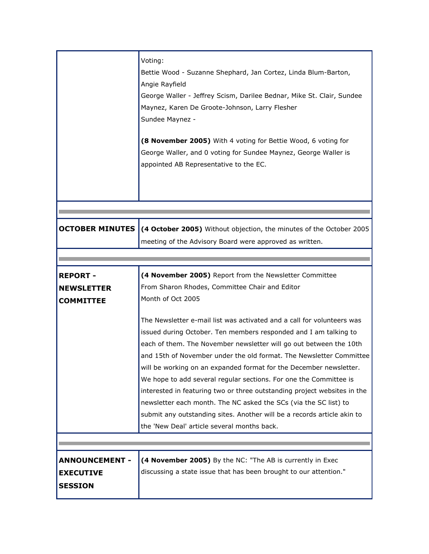|                                                             | Voting:<br>Bettie Wood - Suzanne Shephard, Jan Cortez, Linda Blum-Barton,<br>Angie Rayfield<br>George Waller - Jeffrey Scism, Darilee Bednar, Mike St. Clair, Sundee<br>Maynez, Karen De Groote-Johnson, Larry Flesher<br>Sundee Maynez -<br>(8 November 2005) With 4 voting for Bettie Wood, 6 voting for<br>George Waller, and 0 voting for Sundee Maynez, George Waller is<br>appointed AB Representative to the EC.                                                                                                                                                                                                                                                                                      |
|-------------------------------------------------------------|--------------------------------------------------------------------------------------------------------------------------------------------------------------------------------------------------------------------------------------------------------------------------------------------------------------------------------------------------------------------------------------------------------------------------------------------------------------------------------------------------------------------------------------------------------------------------------------------------------------------------------------------------------------------------------------------------------------|
|                                                             |                                                                                                                                                                                                                                                                                                                                                                                                                                                                                                                                                                                                                                                                                                              |
| <b>OCTOBER MINUTES</b>                                      | (4 October 2005) Without objection, the minutes of the October 2005<br>meeting of the Advisory Board were approved as written.                                                                                                                                                                                                                                                                                                                                                                                                                                                                                                                                                                               |
|                                                             |                                                                                                                                                                                                                                                                                                                                                                                                                                                                                                                                                                                                                                                                                                              |
|                                                             |                                                                                                                                                                                                                                                                                                                                                                                                                                                                                                                                                                                                                                                                                                              |
| <b>REPORT -</b>                                             | (4 November 2005) Report from the Newsletter Committee                                                                                                                                                                                                                                                                                                                                                                                                                                                                                                                                                                                                                                                       |
| <b>NEWSLETTER</b>                                           | From Sharon Rhodes, Committee Chair and Editor                                                                                                                                                                                                                                                                                                                                                                                                                                                                                                                                                                                                                                                               |
| <b>COMMITTEE</b>                                            | Month of Oct 2005                                                                                                                                                                                                                                                                                                                                                                                                                                                                                                                                                                                                                                                                                            |
|                                                             | The Newsletter e-mail list was activated and a call for volunteers was<br>issued during October. Ten members responded and I am talking to<br>each of them. The November newsletter will go out between the 10th<br>and 15th of November under the old format. The Newsletter Committee<br>will be working on an expanded format for the December newsletter.<br>We hope to add several regular sections. For one the Committee is<br>interested in featuring two or three outstanding project websites in the<br>newsletter each month. The NC asked the SCs (via the SC list) to<br>submit any outstanding sites. Another will be a records article akin to<br>the 'New Deal' article several months back. |
|                                                             |                                                                                                                                                                                                                                                                                                                                                                                                                                                                                                                                                                                                                                                                                                              |
| <b>ANNOUNCEMENT -</b><br><b>EXECUTIVE</b><br><b>SESSION</b> | (4 November 2005) By the NC: "The AB is currently in Exec<br>discussing a state issue that has been brought to our attention."                                                                                                                                                                                                                                                                                                                                                                                                                                                                                                                                                                               |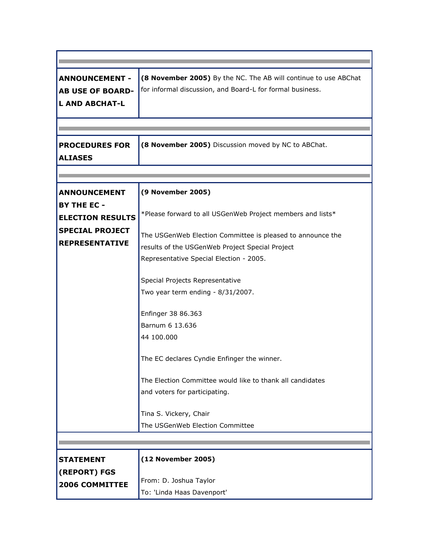| <b>ANNOUNCEMENT -</b><br><b>AB USE OF BOARD-</b><br><b>L AND ABCHAT-L</b>                                               | (8 November 2005) By the NC. The AB will continue to use ABChat<br>for informal discussion, and Board-L for formal business.                                                                                                                                                                                                                                                                                                                                                                                                                                                         |
|-------------------------------------------------------------------------------------------------------------------------|--------------------------------------------------------------------------------------------------------------------------------------------------------------------------------------------------------------------------------------------------------------------------------------------------------------------------------------------------------------------------------------------------------------------------------------------------------------------------------------------------------------------------------------------------------------------------------------|
| <b>PROCEDURES FOR</b><br><b>ALIASES</b>                                                                                 | (8 November 2005) Discussion moved by NC to ABChat.                                                                                                                                                                                                                                                                                                                                                                                                                                                                                                                                  |
| <b>ANNOUNCEMENT</b><br><b>BY THE EC -</b><br><b>ELECTION RESULTS</b><br><b>SPECIAL PROJECT</b><br><b>REPRESENTATIVE</b> | (9 November 2005)<br>*Please forward to all USGenWeb Project members and lists*<br>The USGenWeb Election Committee is pleased to announce the<br>results of the USGenWeb Project Special Project<br>Representative Special Election - 2005.<br>Special Projects Representative<br>Two year term ending - 8/31/2007.<br>Enfinger 38 86.363<br>Barnum 6 13,636<br>44 100,000<br>The EC declares Cyndie Enfinger the winner.<br>The Election Committee would like to thank all candidates<br>and voters for participating.<br>Tina S. Vickery, Chair<br>The USGenWeb Election Committee |
|                                                                                                                         |                                                                                                                                                                                                                                                                                                                                                                                                                                                                                                                                                                                      |
|                                                                                                                         |                                                                                                                                                                                                                                                                                                                                                                                                                                                                                                                                                                                      |
| <b>STATEMENT</b><br>(REPORT) FGS<br><b>2006 COMMITTEE</b>                                                               | (12 November 2005)<br>From: D. Joshua Taylor<br>To: 'Linda Haas Davenport'                                                                                                                                                                                                                                                                                                                                                                                                                                                                                                           |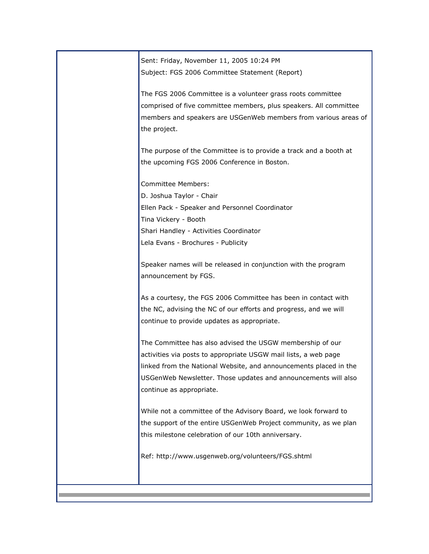Sent: Friday, November 11, 2005 10:24 PM Subject: FGS 2006 Committee Statement (Report)

The FGS 2006 Committee is a volunteer grass roots committee comprised of five committee members, plus speakers. All committee members and speakers are USGenWeb members from various areas of the project.

The purpose of the Committee is to provide a track and a booth at the upcoming FGS 2006 Conference in Boston.

Committee Members:

D. Joshua Taylor - Chair Ellen Pack - Speaker and Personnel Coordinator Tina Vickery - Booth Shari Handley - Activities Coordinator Lela Evans - Brochures - Publicity

Speaker names will be released in conjunction with the program announcement by FGS.

As a courtesy, the FGS 2006 Committee has been in contact with the NC, advising the NC of our efforts and progress, and we will continue to provide updates as appropriate.

The Committee has also advised the USGW membership of our activities via posts to appropriate USGW mail lists, a web page linked from the National Website, and announcements placed in the USGenWeb Newsletter. Those updates and announcements will also continue as appropriate.

While not a committee of the Advisory Board, we look forward to the support of the entire USGenWeb Project community, as we plan this milestone celebration of our 10th anniversary.

Ref: http://www.usgenweb.org/volunteers/FGS.shtml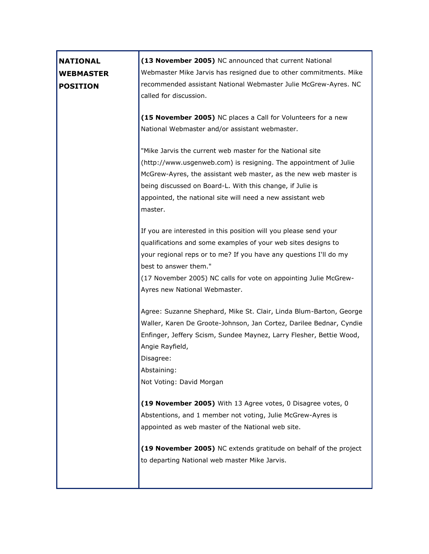| <b>NATIONAL</b><br><b>WEBMASTER</b><br><b>POSITION</b> | (13 November 2005) NC announced that current National<br>Webmaster Mike Jarvis has resigned due to other commitments. Mike<br>recommended assistant National Webmaster Julie McGrew-Ayres. NC<br>called for discussion.                                                                                                                 |
|--------------------------------------------------------|-----------------------------------------------------------------------------------------------------------------------------------------------------------------------------------------------------------------------------------------------------------------------------------------------------------------------------------------|
|                                                        | (15 November 2005) NC places a Call for Volunteers for a new<br>National Webmaster and/or assistant webmaster.                                                                                                                                                                                                                          |
|                                                        | "Mike Jarvis the current web master for the National site<br>(http://www.usgenweb.com) is resigning. The appointment of Julie<br>McGrew-Ayres, the assistant web master, as the new web master is<br>being discussed on Board-L. With this change, if Julie is<br>appointed, the national site will need a new assistant web<br>master. |
|                                                        | If you are interested in this position will you please send your<br>qualifications and some examples of your web sites designs to<br>your regional reps or to me? If you have any questions I'll do my<br>best to answer them."<br>(17 November 2005) NC calls for vote on appointing Julie McGrew-<br>Ayres new National Webmaster.    |
|                                                        | Agree: Suzanne Shephard, Mike St. Clair, Linda Blum-Barton, George<br>Waller, Karen De Groote-Johnson, Jan Cortez, Darilee Bednar, Cyndie<br>Enfinger, Jeffery Scism, Sundee Maynez, Larry Flesher, Bettie Wood,<br>Angie Rayfield,<br>Disagree:<br>Abstaining:<br>Not Voting: David Morgan                                             |
|                                                        | (19 November 2005) With 13 Agree votes, 0 Disagree votes, 0<br>Abstentions, and 1 member not voting, Julie McGrew-Ayres is<br>appointed as web master of the National web site.<br>(19 November 2005) NC extends gratitude on behalf of the project<br>to departing National web master Mike Jarvis.                                    |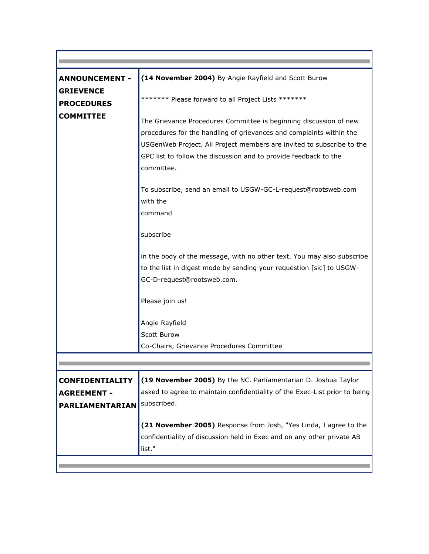| <b>ANNOUNCEMENT -</b>                                           | (14 November 2004) By Angie Rayfield and Scott Burow                                                                                                                                                                                                                                                |
|-----------------------------------------------------------------|-----------------------------------------------------------------------------------------------------------------------------------------------------------------------------------------------------------------------------------------------------------------------------------------------------|
| <b>GRIEVENCE</b>                                                |                                                                                                                                                                                                                                                                                                     |
| <b>PROCEDURES</b>                                               | ******* Please forward to all Project Lists *******                                                                                                                                                                                                                                                 |
| <b>COMMITTEE</b>                                                | The Grievance Procedures Committee is beginning discussion of new<br>procedures for the handling of grievances and complaints within the<br>USGenWeb Project. All Project members are invited to subscribe to the<br>GPC list to follow the discussion and to provide feedback to the<br>committee. |
|                                                                 | To subscribe, send an email to USGW-GC-L-request@rootsweb.com<br>with the<br>command                                                                                                                                                                                                                |
|                                                                 | subscribe                                                                                                                                                                                                                                                                                           |
|                                                                 | in the body of the message, with no other text. You may also subscribe<br>to the list in digest mode by sending your requestion [sic] to USGW-<br>GC-D-request@rootsweb.com.                                                                                                                        |
|                                                                 | Please join us!                                                                                                                                                                                                                                                                                     |
|                                                                 | Angie Rayfield<br>Scott Burow<br>Co-Chairs, Grievance Procedures Committee                                                                                                                                                                                                                          |
|                                                                 |                                                                                                                                                                                                                                                                                                     |
| <b>CONFIDENTIALITY</b><br><b>AGREEMENT -</b><br>PARLIAMENTARIAN | (19 November 2005) By the NC. Parliamentarian D. Joshua Taylor<br>asked to agree to maintain confidentiality of the Exec-List prior to being<br>subscribed.                                                                                                                                         |
|                                                                 | (21 November 2005) Response from Josh, "Yes Linda, I agree to the<br>confidentiality of discussion held in Exec and on any other private AB<br>list."                                                                                                                                               |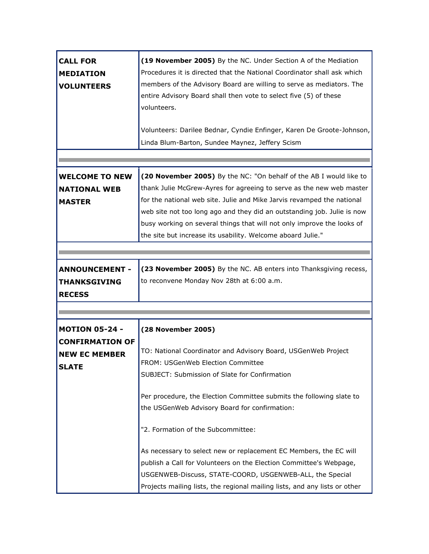| <b>CALL FOR</b><br><b>MEDIATION</b><br><b>VOLUNTEERS</b> | (19 November 2005) By the NC. Under Section A of the Mediation<br>Procedures it is directed that the National Coordinator shall ask which<br>members of the Advisory Board are willing to serve as mediators. The<br>entire Advisory Board shall then vote to select five (5) of these<br>volunteers. |
|----------------------------------------------------------|-------------------------------------------------------------------------------------------------------------------------------------------------------------------------------------------------------------------------------------------------------------------------------------------------------|
|                                                          | Volunteers: Darilee Bednar, Cyndie Enfinger, Karen De Groote-Johnson,<br>Linda Blum-Barton, Sundee Maynez, Jeffery Scism                                                                                                                                                                              |
|                                                          |                                                                                                                                                                                                                                                                                                       |
|                                                          |                                                                                                                                                                                                                                                                                                       |
| <b>WELCOME TO NEW</b>                                    | (20 November 2005) By the NC: "On behalf of the AB I would like to                                                                                                                                                                                                                                    |
| <b>NATIONAL WEB</b>                                      | thank Julie McGrew-Ayres for agreeing to serve as the new web master                                                                                                                                                                                                                                  |
| <b>MASTER</b>                                            | for the national web site. Julie and Mike Jarvis revamped the national                                                                                                                                                                                                                                |
|                                                          | web site not too long ago and they did an outstanding job. Julie is now                                                                                                                                                                                                                               |
|                                                          | busy working on several things that will not only improve the looks of                                                                                                                                                                                                                                |
|                                                          | the site but increase its usability. Welcome aboard Julie."                                                                                                                                                                                                                                           |
|                                                          |                                                                                                                                                                                                                                                                                                       |
|                                                          |                                                                                                                                                                                                                                                                                                       |
| <b>ANNOUNCEMENT -</b>                                    | (23 November 2005) By the NC. AB enters into Thanksgiving recess,                                                                                                                                                                                                                                     |
| THANKSGIVING                                             | to reconvene Monday Nov 28th at 6:00 a.m.                                                                                                                                                                                                                                                             |
| <b>RECESS</b>                                            |                                                                                                                                                                                                                                                                                                       |
|                                                          |                                                                                                                                                                                                                                                                                                       |
|                                                          |                                                                                                                                                                                                                                                                                                       |
| <b>MOTION 05-24 -</b>                                    | (28 November 2005)                                                                                                                                                                                                                                                                                    |
| <b>CONFIRMATION OF</b>                                   |                                                                                                                                                                                                                                                                                                       |
| <b>NEW EC MEMBER</b>                                     | TO: National Coordinator and Advisory Board, USGenWeb Project                                                                                                                                                                                                                                         |
| SLATE                                                    | FROM: USGenWeb Election Committee                                                                                                                                                                                                                                                                     |
|                                                          | SUBJECT: Submission of Slate for Confirmation                                                                                                                                                                                                                                                         |
|                                                          | Per procedure, the Election Committee submits the following slate to                                                                                                                                                                                                                                  |
|                                                          | the USGenWeb Advisory Board for confirmation:                                                                                                                                                                                                                                                         |
|                                                          | "2. Formation of the Subcommittee:                                                                                                                                                                                                                                                                    |
|                                                          | As necessary to select new or replacement EC Members, the EC will                                                                                                                                                                                                                                     |
|                                                          | publish a Call for Volunteers on the Election Committee's Webpage,                                                                                                                                                                                                                                    |
|                                                          | USGENWEB-Discuss, STATE-COORD, USGENWEB-ALL, the Special                                                                                                                                                                                                                                              |
|                                                          | Projects mailing lists, the regional mailing lists, and any lists or other                                                                                                                                                                                                                            |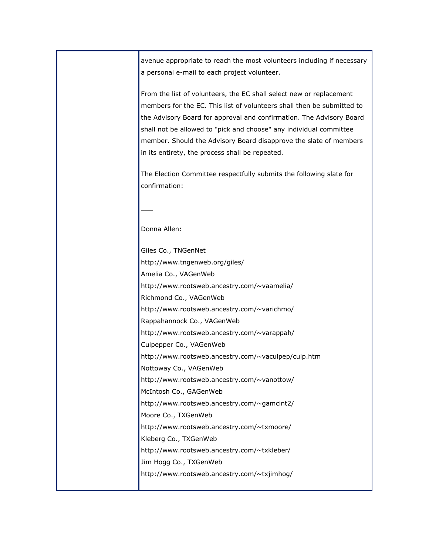avenue appropriate to reach the most volunteers including if necessary a personal e-mail to each project volunteer.

From the list of volunteers, the EC shall select new or replacement members for the EC. This list of volunteers shall then be submitted to the Advisory Board for approval and confirmation. The Advisory Board shall not be allowed to "pick and choose" any individual committee member. Should the Advisory Board disapprove the slate of members in its entirety, the process shall be repeated.

The Election Committee respectfully submits the following slate for confirmation:

Donna Allen:

 $\overline{\phantom{a}}$ 

Giles Co., TNGenNet http://www.tngenweb.org/giles/ Amelia Co., VAGenWeb http://www.rootsweb.ancestry.com/~vaamelia/ Richmond Co., VAGenWeb http://www.rootsweb.ancestry.com/~varichmo/ Rappahannock Co., VAGenWeb http://www.rootsweb.ancestry.com/~varappah/ Culpepper Co., VAGenWeb http://www.rootsweb.ancestry.com/~vaculpep/culp.htm Nottoway Co., VAGenWeb http://www.rootsweb.ancestry.com/~vanottow/ McIntosh Co., GAGenWeb http://www.rootsweb.ancestry.com/~gamcint2/ Moore Co., TXGenWeb http://www.rootsweb.ancestry.com/~txmoore/ Kleberg Co., TXGenWeb http://www.rootsweb.ancestry.com/~txkleber/ Jim Hogg Co., TXGenWeb http://www.rootsweb.ancestry.com/~txjimhog/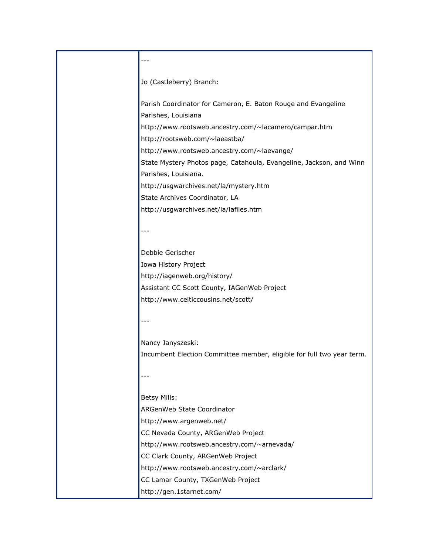## ---

Jo (Castleberry) Branch:

Parish Coordinator for Cameron, E. Baton Rouge and Evangeline Parishes, Louisiana http://www.rootsweb.ancestry.com/~lacamero/campar.htm http://rootsweb.com/~laeastba/ http://www.rootsweb.ancestry.com/~laevange/ State Mystery Photos page, Catahoula, Evangeline, Jackson, and Winn Parishes, Louisiana. http://usgwarchives.net/la/mystery.htm State Archives Coordinator, LA http://usgwarchives.net/la/lafiles.htm ---

Debbie Gerischer Iowa History Project http://iagenweb.org/history/ Assistant CC Scott County, IAGenWeb Project http://www.celticcousins.net/scott/

---

Nancy Janyszeski: Incumbent Election Committee member, eligible for full two year term.

## ---

Betsy Mills: ARGenWeb State Coordinator http://www.argenweb.net/ CC Nevada County, ARGenWeb Project http://www.rootsweb.ancestry.com/~arnevada/ CC Clark County, ARGenWeb Project http://www.rootsweb.ancestry.com/~arclark/ CC Lamar County, TXGenWeb Project http://gen.1starnet.com/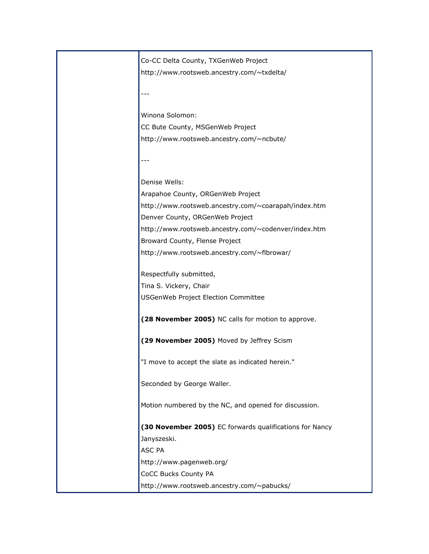| Co-CC Delta County, TXGenWeb Project                    |
|---------------------------------------------------------|
| http://www.rootsweb.ancestry.com/~txdelta/              |
|                                                         |
|                                                         |
| Winona Solomon:                                         |
| CC Bute County, MSGenWeb Project                        |
| http://www.rootsweb.ancestry.com/~ncbute/               |
|                                                         |
|                                                         |
| Denise Wells:                                           |
| Arapahoe County, ORGenWeb Project                       |
| http://www.rootsweb.ancestry.com/~coarapah/index.htm    |
| Denver County, ORGenWeb Project                         |
| http://www.rootsweb.ancestry.com/~codenver/index.htm    |
| Broward County, Flense Project                          |
| http://www.rootsweb.ancestry.com/~flbrowar/             |
|                                                         |
| Respectfully submitted,                                 |
| Tina S. Vickery, Chair                                  |
| USGenWeb Project Election Committee                     |
| (28 November 2005) NC calls for motion to approve.      |
| (29 November 2005) Moved by Jeffrey Scism               |
|                                                         |
| "I move to accept the slate as indicated herein."       |
|                                                         |
| Seconded by George Waller.                              |
| Motion numbered by the NC, and opened for discussion.   |
| (30 November 2005) EC forwards qualifications for Nancy |
| Janyszeski.                                             |
| ASC PA                                                  |
| http://www.pagenweb.org/                                |
| CoCC Bucks County PA                                    |
| http://www.rootsweb.ancestry.com/~pabucks/              |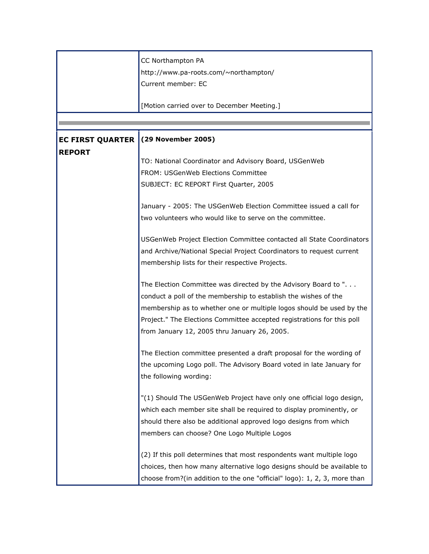|                         | CC Northampton PA                                                        |
|-------------------------|--------------------------------------------------------------------------|
|                         | http://www.pa-roots.com/~northampton/                                    |
|                         | Current member: EC                                                       |
|                         |                                                                          |
|                         | [Motion carried over to December Meeting.]                               |
|                         |                                                                          |
|                         |                                                                          |
| <b>EC FIRST QUARTER</b> | (29 November 2005)                                                       |
| <b>REPORT</b>           |                                                                          |
|                         | TO: National Coordinator and Advisory Board, USGenWeb                    |
|                         | <b>FROM: USGenWeb Elections Committee</b>                                |
|                         | SUBJECT: EC REPORT First Quarter, 2005                                   |
|                         |                                                                          |
|                         | January - 2005: The USGenWeb Election Committee issued a call for        |
|                         | two volunteers who would like to serve on the committee.                 |
|                         |                                                                          |
|                         | USGenWeb Project Election Committee contacted all State Coordinators     |
|                         | and Archive/National Special Project Coordinators to request current     |
|                         | membership lists for their respective Projects.                          |
|                         | The Election Committee was directed by the Advisory Board to "           |
|                         | conduct a poll of the membership to establish the wishes of the          |
|                         |                                                                          |
|                         | membership as to whether one or multiple logos should be used by the     |
|                         | Project." The Elections Committee accepted registrations for this poll   |
|                         | from January 12, 2005 thru January 26, 2005.                             |
|                         | The Election committee presented a draft proposal for the wording of     |
|                         | the upcoming Logo poll. The Advisory Board voted in late January for     |
|                         | the following wording:                                                   |
|                         |                                                                          |
|                         | "(1) Should The USGenWeb Project have only one official logo design,     |
|                         | which each member site shall be required to display prominently, or      |
|                         | should there also be additional approved logo designs from which         |
|                         | members can choose? One Logo Multiple Logos                              |
|                         |                                                                          |
|                         | (2) If this poll determines that most respondents want multiple logo     |
|                         | choices, then how many alternative logo designs should be available to   |
|                         |                                                                          |
|                         | choose from?(in addition to the one "official" logo): 1, 2, 3, more than |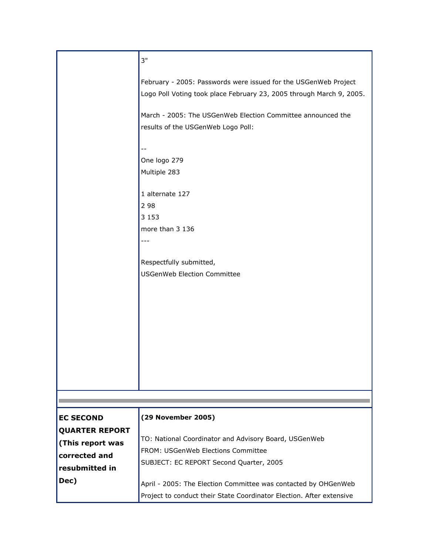|                       | 3"                                                                                                                                      |
|-----------------------|-----------------------------------------------------------------------------------------------------------------------------------------|
|                       | February - 2005: Passwords were issued for the USGenWeb Project<br>Logo Poll Voting took place February 23, 2005 through March 9, 2005. |
|                       | March - 2005: The USGenWeb Election Committee announced the<br>results of the USGenWeb Logo Poll:                                       |
|                       | $-$                                                                                                                                     |
|                       | One logo 279                                                                                                                            |
|                       | Multiple 283                                                                                                                            |
|                       | 1 alternate 127                                                                                                                         |
|                       | 2 9 8                                                                                                                                   |
|                       | 3 1 5 3                                                                                                                                 |
|                       | more than 3 136                                                                                                                         |
|                       | $---$                                                                                                                                   |
|                       | Respectfully submitted,                                                                                                                 |
|                       | <b>USGenWeb Election Committee</b>                                                                                                      |
|                       |                                                                                                                                         |
|                       |                                                                                                                                         |
|                       |                                                                                                                                         |
|                       |                                                                                                                                         |
|                       |                                                                                                                                         |
|                       |                                                                                                                                         |
|                       |                                                                                                                                         |
|                       |                                                                                                                                         |
|                       |                                                                                                                                         |
|                       |                                                                                                                                         |
| <b>EC SECOND</b>      | (29 November 2005)                                                                                                                      |
| <b>QUARTER REPORT</b> |                                                                                                                                         |
| (This report was      | TO: National Coordinator and Advisory Board, USGenWeb                                                                                   |
| corrected and         | FROM: USGenWeb Elections Committee                                                                                                      |
| resubmitted in        | SUBJECT: EC REPORT Second Quarter, 2005                                                                                                 |
| Dec)                  | April - 2005: The Election Committee was contacted by OHGenWeb                                                                          |
|                       | Project to conduct their State Coordinator Election. After extensive                                                                    |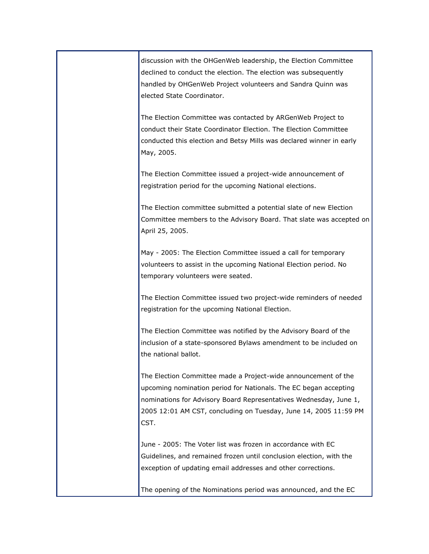discussion with the OHGenWeb leadership, the Election Committee declined to conduct the election. The election was subsequently handled by OHGenWeb Project volunteers and Sandra Quinn was elected State Coordinator.

The Election Committee was contacted by ARGenWeb Project to conduct their State Coordinator Election. The Election Committee conducted this election and Betsy Mills was declared winner in early May, 2005.

The Election Committee issued a project-wide announcement of registration period for the upcoming National elections.

The Election committee submitted a potential slate of new Election Committee members to the Advisory Board. That slate was accepted on April 25, 2005.

May - 2005: The Election Committee issued a call for temporary volunteers to assist in the upcoming National Election period. No temporary volunteers were seated.

The Election Committee issued two project-wide reminders of needed registration for the upcoming National Election.

The Election Committee was notified by the Advisory Board of the inclusion of a state-sponsored Bylaws amendment to be included on the national ballot.

The Election Committee made a Project-wide announcement of the upcoming nomination period for Nationals. The EC began accepting nominations for Advisory Board Representatives Wednesday, June 1, 2005 12:01 AM CST, concluding on Tuesday, June 14, 2005 11:59 PM CST.

June - 2005: The Voter list was frozen in accordance with EC Guidelines, and remained frozen until conclusion election, with the exception of updating email addresses and other corrections.

The opening of the Nominations period was announced, and the EC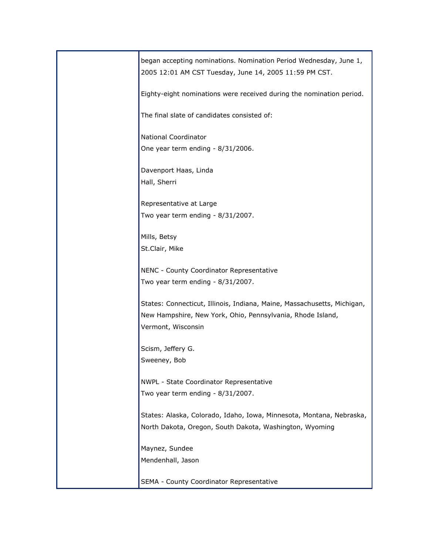| began accepting nominations. Nomination Period Wednesday, June 1,<br>2005 12:01 AM CST Tuesday, June 14, 2005 11:59 PM CST. |
|-----------------------------------------------------------------------------------------------------------------------------|
| Eighty-eight nominations were received during the nomination period.                                                        |
| The final slate of candidates consisted of:                                                                                 |
| National Coordinator                                                                                                        |
| One year term ending - 8/31/2006.                                                                                           |
| Davenport Haas, Linda                                                                                                       |
| Hall, Sherri                                                                                                                |
| Representative at Large                                                                                                     |
| Two year term ending - 8/31/2007.                                                                                           |
|                                                                                                                             |
| Mills, Betsy<br>St.Clair, Mike                                                                                              |
|                                                                                                                             |
| NENC - County Coordinator Representative                                                                                    |
| Two year term ending - 8/31/2007.                                                                                           |
| States: Connecticut, Illinois, Indiana, Maine, Massachusetts, Michigan,                                                     |
| New Hampshire, New York, Ohio, Pennsylvania, Rhode Island,                                                                  |
| Vermont, Wisconsin                                                                                                          |
| Scism, Jeffery G.                                                                                                           |
| Sweeney, Bob                                                                                                                |
| NWPL - State Coordinator Representative                                                                                     |
| Two year term ending - 8/31/2007.                                                                                           |
|                                                                                                                             |
| States: Alaska, Colorado, Idaho, Iowa, Minnesota, Montana, Nebraska,                                                        |
| North Dakota, Oregon, South Dakota, Washington, Wyoming                                                                     |
| Maynez, Sundee                                                                                                              |
| Mendenhall, Jason                                                                                                           |
| SEMA - County Coordinator Representative                                                                                    |
|                                                                                                                             |